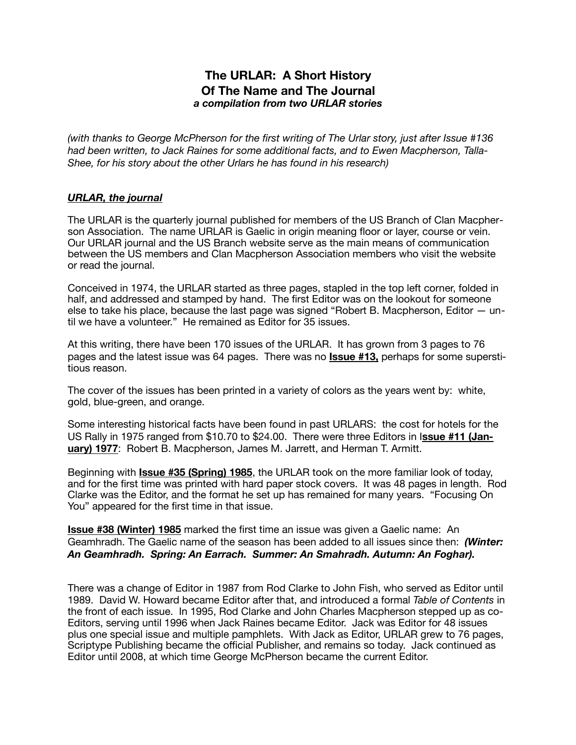## **The URLAR: A Short History Of The Name and The Journal**  *a compilation from two URLAR stories*

*(with thanks to George McPherson for the first writing of The Urlar story, just after Issue #136 had been written, to Jack Raines for some additional facts, and to Ewen Macpherson, Talla-Shee, for his story about the other Urlars he has found in his research)* 

## *URLAR, the journal*

The URLAR is the quarterly journal published for members of the US Branch of Clan Macpherson Association. The name URLAR is Gaelic in origin meaning floor or layer, course or vein. Our URLAR journal and the US Branch website serve as the main means of communication between the US members and Clan Macpherson Association members who visit the website or read the journal.

Conceived in 1974, the URLAR started as three pages, stapled in the top left corner, folded in half, and addressed and stamped by hand. The first Editor was on the lookout for someone else to take his place, because the last page was signed "Robert B. Macpherson, Editor — until we have a volunteer." He remained as Editor for 35 issues.

At this writing, there have been 170 issues of the URLAR. It has grown from 3 pages to 76 pages and the latest issue was 64 pages. There was no **Issue #13,** perhaps for some superstitious reason.

The cover of the issues has been printed in a variety of colors as the years went by: white, gold, blue-green, and orange.

Some interesting historical facts have been found in past URLARS: the cost for hotels for the US Rally in 1975 ranged from \$10.70 to \$24.00. There were three Editors in I**ssue #11 (January) 1977**: Robert B. Macpherson, James M. Jarrett, and Herman T. Armitt.

Beginning with **Issue #35 (Spring) 1985**, the URLAR took on the more familiar look of today, and for the first time was printed with hard paper stock covers. It was 48 pages in length. Rod Clarke was the Editor, and the format he set up has remained for many years. "Focusing On You" appeared for the first time in that issue.

**Issue #38 (Winter) 1985** marked the first time an issue was given a Gaelic name: An Geamhradh. The Gaelic name of the season has been added to all issues since then: *(Winter: An Geamhradh. Spring: An Earrach. Summer: An Smahradh. Autumn: An Foghar).* 

There was a change of Editor in 1987 from Rod Clarke to John Fish, who served as Editor until 1989. David W. Howard became Editor after that, and introduced a formal *Table of Contents* in the front of each issue. In 1995, Rod Clarke and John Charles Macpherson stepped up as co-Editors, serving until 1996 when Jack Raines became Editor. Jack was Editor for 48 issues plus one special issue and multiple pamphlets. With Jack as Editor, URLAR grew to 76 pages, Scriptype Publishing became the official Publisher, and remains so today. Jack continued as Editor until 2008, at which time George McPherson became the current Editor.